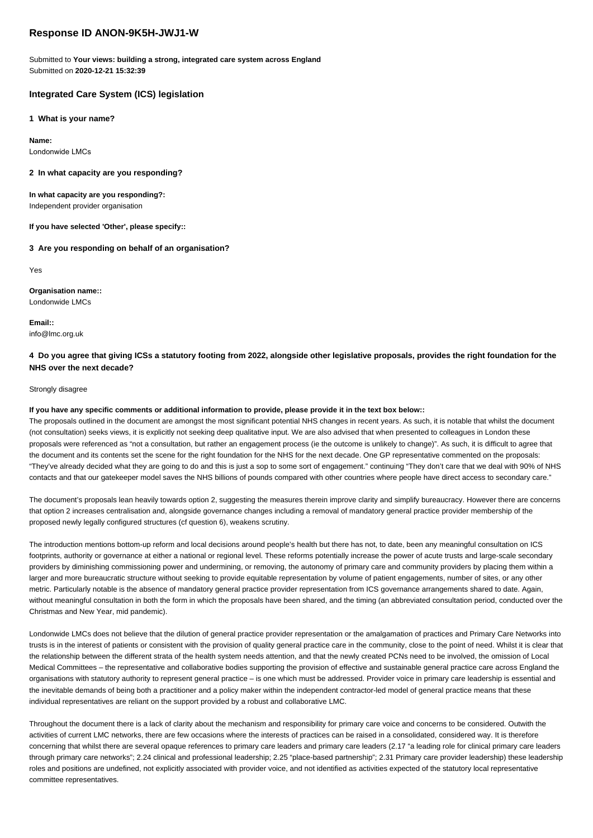# **Response ID ANON-9K5H-JWJ1-W**

Submitted to **Your views: building a strong, integrated care system across England** Submitted on **2020-12-21 15:32:39**

### **Integrated Care System (ICS) legislation**

**1 What is your name?**

**Name:**

Londonwide LMCs

**2 In what capacity are you responding?**

**In what capacity are you responding?:** Independent provider organisation

**If you have selected 'Other', please specify::**

**3 Are you responding on behalf of an organisation?**

Yes

**Organisation name::** Londonwide LMCs

**Email::** info@lmc.org.uk

## **4 Do you agree that giving ICSs a statutory footing from 2022, alongside other legislative proposals, provides the right foundation for the NHS over the next decade?**

#### Strongly disagree

#### **If you have any specific comments or additional information to provide, please provide it in the text box below::**

The proposals outlined in the document are amongst the most significant potential NHS changes in recent years. As such, it is notable that whilst the document (not consultation) seeks views, it is explicitly not seeking deep qualitative input. We are also advised that when presented to colleagues in London these proposals were referenced as "not a consultation, but rather an engagement process (ie the outcome is unlikely to change)". As such, it is difficult to agree that the document and its contents set the scene for the right foundation for the NHS for the next decade. One GP representative commented on the proposals: "They've already decided what they are going to do and this is just a sop to some sort of engagement." continuing "They don't care that we deal with 90% of NHS contacts and that our gatekeeper model saves the NHS billions of pounds compared with other countries where people have direct access to secondary care."

The document's proposals lean heavily towards option 2, suggesting the measures therein improve clarity and simplify bureaucracy. However there are concerns that option 2 increases centralisation and, alongside governance changes including a removal of mandatory general practice provider membership of the proposed newly legally configured structures (cf question 6), weakens scrutiny.

The introduction mentions bottom-up reform and local decisions around people's health but there has not, to date, been any meaningful consultation on ICS footprints, authority or governance at either a national or regional level. These reforms potentially increase the power of acute trusts and large-scale secondary providers by diminishing commissioning power and undermining, or removing, the autonomy of primary care and community providers by placing them within a larger and more bureaucratic structure without seeking to provide equitable representation by volume of patient engagements, number of sites, or any other metric. Particularly notable is the absence of mandatory general practice provider representation from ICS governance arrangements shared to date. Again, without meaningful consultation in both the form in which the proposals have been shared, and the timing (an abbreviated consultation period, conducted over the Christmas and New Year, mid pandemic).

Londonwide LMCs does not believe that the dilution of general practice provider representation or the amalgamation of practices and Primary Care Networks into trusts is in the interest of patients or consistent with the provision of quality general practice care in the community, close to the point of need. Whilst it is clear that the relationship between the different strata of the health system needs attention, and that the newly created PCNs need to be involved, the omission of Local Medical Committees – the representative and collaborative bodies supporting the provision of effective and sustainable general practice care across England the organisations with statutory authority to represent general practice – is one which must be addressed. Provider voice in primary care leadership is essential and the inevitable demands of being both a practitioner and a policy maker within the independent contractor-led model of general practice means that these individual representatives are reliant on the support provided by a robust and collaborative LMC.

Throughout the document there is a lack of clarity about the mechanism and responsibility for primary care voice and concerns to be considered. Outwith the activities of current LMC networks, there are few occasions where the interests of practices can be raised in a consolidated, considered way. It is therefore concerning that whilst there are several opaque references to primary care leaders and primary care leaders (2.17 "a leading role for clinical primary care leaders through primary care networks"; 2.24 clinical and professional leadership; 2.25 "place-based partnership"; 2.31 Primary care provider leadership) these leadership roles and positions are undefined, not explicitly associated with provider voice, and not identified as activities expected of the statutory local representative committee representatives.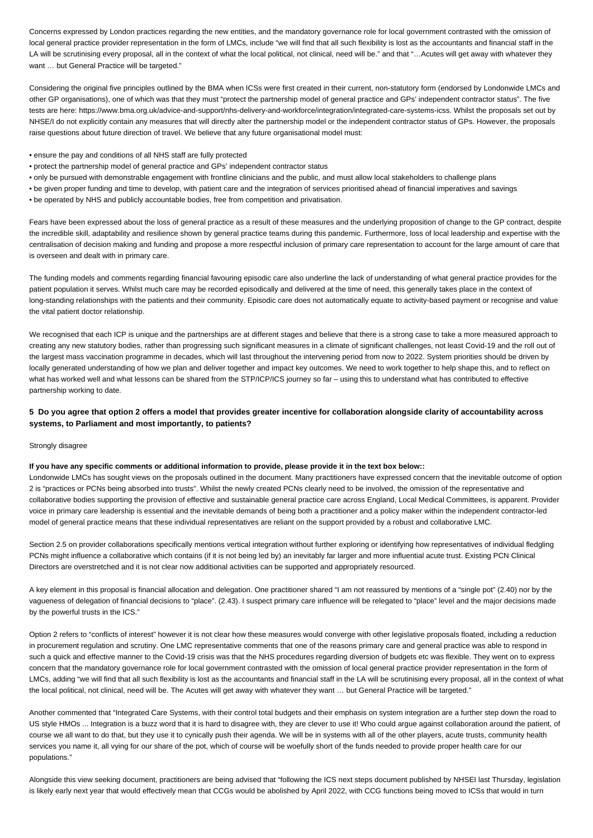Concerns expressed by London practices regarding the new entities, and the mandatory governance role for local government contrasted with the omission of local general practice provider representation in the form of LMCs, include "we will find that all such flexibility is lost as the accountants and financial staff in the LA will be scrutinising every proposal, all in the context of what the local political, not clinical, need will be." and that "…Acutes will get away with whatever they want ... but General Practice will be targeted."

Considering the original five principles outlined by the BMA when ICSs were first created in their current, non-statutory form (endorsed by Londonwide LMCs and other GP organisations), one of which was that they must "protect the partnership model of general practice and GPs' independent contractor status". The five tests are here: https://www.bma.org.uk/advice-and-support/nhs-delivery-and-workforce/integration/integrated-care-systems-icss. Whilst the proposals set out by NHSE/I do not explicitly contain any measures that will directly alter the partnership model or the independent contractor status of GPs. However, the proposals raise questions about future direction of travel. We believe that any future organisational model must:

- ensure the pay and conditions of all NHS staff are fully protected
- protect the partnership model of general practice and GPs' independent contractor status
- only be pursued with demonstrable engagement with frontline clinicians and the public, and must allow local stakeholders to challenge plans
- be given proper funding and time to develop, with patient care and the integration of services prioritised ahead of financial imperatives and savings
- be operated by NHS and publicly accountable bodies, free from competition and privatisation.

Fears have been expressed about the loss of general practice as a result of these measures and the underlying proposition of change to the GP contract, despite the incredible skill, adaptability and resilience shown by general practice teams during this pandemic. Furthermore, loss of local leadership and expertise with the centralisation of decision making and funding and propose a more respectful inclusion of primary care representation to account for the large amount of care that is overseen and dealt with in primary care.

The funding models and comments regarding financial favouring episodic care also underline the lack of understanding of what general practice provides for the patient population it serves. Whilst much care may be recorded episodically and delivered at the time of need, this generally takes place in the context of long-standing relationships with the patients and their community. Episodic care does not automatically equate to activity-based payment or recognise and value the vital patient doctor relationship.

We recognised that each ICP is unique and the partnerships are at different stages and believe that there is a strong case to take a more measured approach to creating any new statutory bodies, rather than progressing such significant measures in a climate of significant challenges, not least Covid-19 and the roll out of the largest mass vaccination programme in decades, which will last throughout the intervening period from now to 2022. System priorities should be driven by locally generated understanding of how we plan and deliver together and impact key outcomes. We need to work together to help shape this, and to reflect on what has worked well and what lessons can be shared from the STP/ICP/ICS journey so far - using this to understand what has contributed to effective partnership working to date.

### **5 Do you agree that option 2 offers a model that provides greater incentive for collaboration alongside clarity of accountability across systems, to Parliament and most importantly, to patients?**

#### Strongly disagree

### **If you have any specific comments or additional information to provide, please provide it in the text box below::**

Londonwide LMCs has sought views on the proposals outlined in the document. Many practitioners have expressed concern that the inevitable outcome of option 2 is "practices or PCNs being absorbed into trusts". Whilst the newly created PCNs clearly need to be involved, the omission of the representative and collaborative bodies supporting the provision of effective and sustainable general practice care across England, Local Medical Committees, is apparent. Provider voice in primary care leadership is essential and the inevitable demands of being both a practitioner and a policy maker within the independent contractor-led model of general practice means that these individual representatives are reliant on the support provided by a robust and collaborative LMC.

Section 2.5 on provider collaborations specifically mentions vertical integration without further exploring or identifying how representatives of individual fledgling PCNs might influence a collaborative which contains (if it is not being led by) an inevitably far larger and more influential acute trust. Existing PCN Clinical Directors are overstretched and it is not clear now additional activities can be supported and appropriately resourced.

A key element in this proposal is financial allocation and delegation. One practitioner shared "I am not reassured by mentions of a "single pot" (2.40) nor by the vagueness of delegation of financial decisions to "place". (2.43). I suspect primary care influence will be relegated to "place" level and the major decisions made by the powerful trusts in the ICS."

Option 2 refers to "conflicts of interest" however it is not clear how these measures would converge with other legislative proposals floated, including a reduction in procurement regulation and scrutiny. One LMC representative comments that one of the reasons primary care and general practice was able to respond in such a quick and effective manner to the Covid-19 crisis was that the NHS procedures regarding diversion of budgets etc was flexible. They went on to express concern that the mandatory governance role for local government contrasted with the omission of local general practice provider representation in the form of LMCs, adding "we will find that all such flexibility is lost as the accountants and financial staff in the LA will be scrutinising every proposal, all in the context of what the local political, not clinical, need will be. The Acutes will get away with whatever they want … but General Practice will be targeted."

Another commented that "Integrated Care Systems, with their control total budgets and their emphasis on system integration are a further step down the road to US style HMOs ... Integration is a buzz word that it is hard to disagree with, they are clever to use it! Who could argue against collaboration around the patient, of course we all want to do that, but they use it to cynically push their agenda. We will be in systems with all of the other players, acute trusts, community health services you name it, all vying for our share of the pot, which of course will be woefully short of the funds needed to provide proper health care for our populations."

Alongside this view seeking document, practitioners are being advised that "following the ICS next steps document published by NHSEI last Thursday, legislation is likely early next year that would effectively mean that CCGs would be abolished by April 2022, with CCG functions being moved to ICSs that would in turn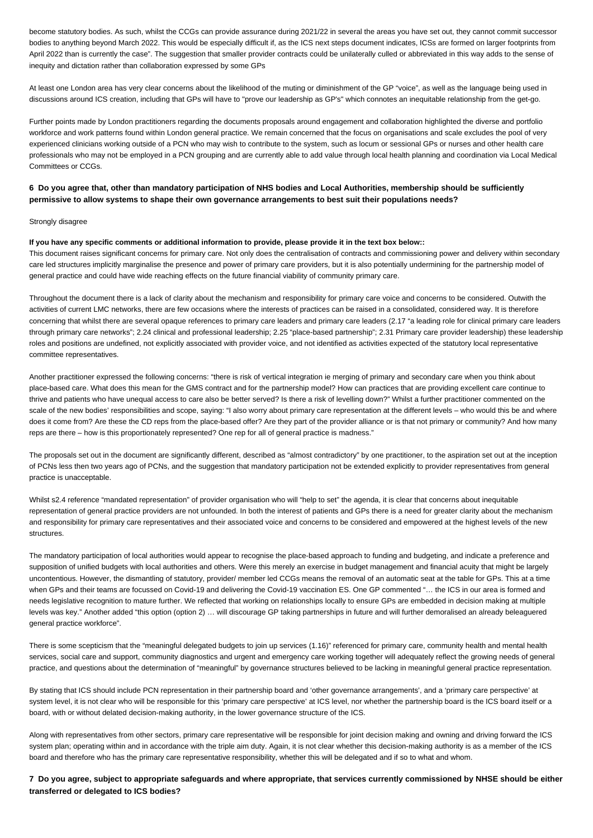become statutory bodies. As such, whilst the CCGs can provide assurance during 2021/22 in several the areas you have set out, they cannot commit successor bodies to anything beyond March 2022. This would be especially difficult if, as the ICS next steps document indicates, ICSs are formed on larger footprints from April 2022 than is currently the case". The suggestion that smaller provider contracts could be unilaterally culled or abbreviated in this way adds to the sense of inequity and dictation rather than collaboration expressed by some GPs

At least one London area has very clear concerns about the likelihood of the muting or diminishment of the GP "voice", as well as the language being used in discussions around ICS creation, including that GPs will have to "prove our leadership as GP's" which connotes an inequitable relationship from the get-go.

Further points made by London practitioners regarding the documents proposals around engagement and collaboration highlighted the diverse and portfolio workforce and work patterns found within London general practice. We remain concerned that the focus on organisations and scale excludes the pool of very experienced clinicians working outside of a PCN who may wish to contribute to the system, such as locum or sessional GPs or nurses and other health care professionals who may not be employed in a PCN grouping and are currently able to add value through local health planning and coordination via Local Medical Committees or CCGs.

## **6 Do you agree that, other than mandatory participation of NHS bodies and Local Authorities, membership should be sufficiently permissive to allow systems to shape their own governance arrangements to best suit their populations needs?**

#### Strongly disagree

#### **If you have any specific comments or additional information to provide, please provide it in the text box below::**

This document raises significant concerns for primary care. Not only does the centralisation of contracts and commissioning power and delivery within secondary care led structures implicitly marginalise the presence and power of primary care providers, but it is also potentially undermining for the partnership model of general practice and could have wide reaching effects on the future financial viability of community primary care.

Throughout the document there is a lack of clarity about the mechanism and responsibility for primary care voice and concerns to be considered. Outwith the activities of current LMC networks, there are few occasions where the interests of practices can be raised in a consolidated, considered way. It is therefore concerning that whilst there are several opaque references to primary care leaders and primary care leaders (2.17 "a leading role for clinical primary care leaders through primary care networks"; 2.24 clinical and professional leadership; 2.25 "place-based partnership"; 2.31 Primary care provider leadership) these leadership roles and positions are undefined, not explicitly associated with provider voice, and not identified as activities expected of the statutory local representative committee representatives.

Another practitioner expressed the following concerns: "there is risk of vertical integration ie merging of primary and secondary care when you think about place-based care. What does this mean for the GMS contract and for the partnership model? How can practices that are providing excellent care continue to thrive and patients who have unequal access to care also be better served? Is there a risk of levelling down?" Whilst a further practitioner commented on the scale of the new bodies' responsibilities and scope, saying: "I also worry about primary care representation at the different levels – who would this be and where does it come from? Are these the CD reps from the place-based offer? Are they part of the provider alliance or is that not primary or community? And how many reps are there – how is this proportionately represented? One rep for all of general practice is madness."

The proposals set out in the document are significantly different, described as "almost contradictory" by one practitioner, to the aspiration set out at the inception of PCNs less then two years ago of PCNs, and the suggestion that mandatory participation not be extended explicitly to provider representatives from general practice is unacceptable.

Whilst s2.4 reference "mandated representation" of provider organisation who will "help to set" the agenda, it is clear that concerns about inequitable representation of general practice providers are not unfounded. In both the interest of patients and GPs there is a need for greater clarity about the mechanism and responsibility for primary care representatives and their associated voice and concerns to be considered and empowered at the highest levels of the new structures.

The mandatory participation of local authorities would appear to recognise the place-based approach to funding and budgeting, and indicate a preference and supposition of unified budgets with local authorities and others. Were this merely an exercise in budget management and financial acuity that might be largely uncontentious. However, the dismantling of statutory, provider/ member led CCGs means the removal of an automatic seat at the table for GPs. This at a time when GPs and their teams are focussed on Covid-19 and delivering the Covid-19 vaccination ES. One GP commented "… the ICS in our area is formed and needs legislative recognition to mature further. We reflected that working on relationships locally to ensure GPs are embedded in decision making at multiple levels was key." Another added "this option (option 2) … will discourage GP taking partnerships in future and will further demoralised an already beleaguered general practice workforce".

There is some scepticism that the "meaningful delegated budgets to join up services (1.16)" referenced for primary care, community health and mental health services, social care and support, community diagnostics and urgent and emergency care working together will adequately reflect the growing needs of general practice, and questions about the determination of "meaningful" by governance structures believed to be lacking in meaningful general practice representation.

By stating that ICS should include PCN representation in their partnership board and 'other governance arrangements', and a 'primary care perspective' at system level, it is not clear who will be responsible for this 'primary care perspective' at ICS level, nor whether the partnership board is the ICS board itself or a board, with or without delated decision-making authority, in the lower governance structure of the ICS.

Along with representatives from other sectors, primary care representative will be responsible for joint decision making and owning and driving forward the ICS system plan; operating within and in accordance with the triple aim duty. Again, it is not clear whether this decision-making authority is as a member of the ICS board and therefore who has the primary care representative responsibility, whether this will be delegated and if so to what and whom.

**7 Do you agree, subject to appropriate safeguards and where appropriate, that services currently commissioned by NHSE should be either transferred or delegated to ICS bodies?**